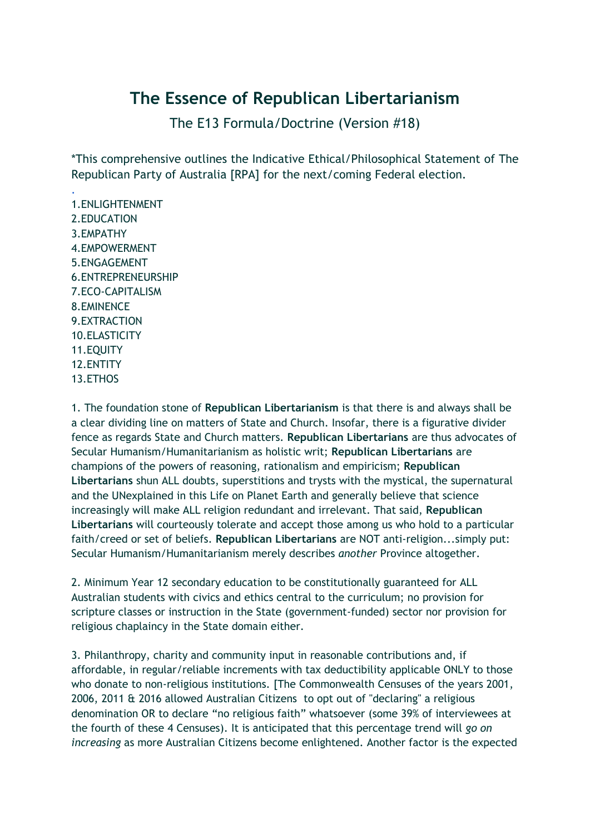## **The Essence of Republican Libertarianism**

The E13 Formula/Doctrine (Version #18)

\*This comprehensive outlines the Indicative Ethical/Philosophical Statement of The Republican Party of Australia [RPA] for the next/coming Federal election.

[.](http://therepublicans.com.au/index.php/depo-medrol-price) 1.ENLIGHTENMENT 2.EDUCATION 3.EMPATHY 4.EMPOWERMENT 5.ENGAGEMENT 6.ENTREPRENEURSHIP 7.ECO-CAPITALISM 8.EMINENCE 9.EXTRACTION 10.ELASTICITY 11.EQUITY 12.ENTITY 13.ETHOS

1. The foundation stone of **Republican Libertarianism** is that there is and always shall be a clear dividing line on matters of State and Church. Insofar, there is a figurative divider fence as regards State and Church matters. **Republican Libertarians** are thus advocates of Secular Humanism/Humanitarianism as holistic writ; **Republican Libertarians** are champions of the powers of reasoning, rationalism and empiricism; **Republican Libertarians** shun ALL doubts, superstitions and trysts with the mystical, the supernatural and the UNexplained in this Life on Planet Earth and generally believe that science increasingly will make ALL religion redundant and irrelevant. That said, **Republican Libertarians** will courteously tolerate and accept those among us who hold to a particular faith/creed or set of beliefs. **Republican Libertarians** are NOT anti-religion...simply put: Secular Humanism/Humanitarianism merely describes *another* Province altogether.

2. Minimum Year 12 secondary education to be constitutionally guaranteed for ALL Australian students with civics and ethics central to the curriculum; no provision for scripture classes or instruction in the State (government-funded) sector nor provision for religious chaplaincy in the State domain either.

3. Philanthropy, charity and community input in reasonable contributions and, if affordable, in regular/reliable increments with tax deductibility applicable ONLY to those who donate to non-religious institutions. [The Commonwealth Censuses of the years 2001, 2006, 2011 & 2016 allowed Australian Citizens to opt out of "declaring" a religious denomination OR to declare "no religious faith" whatsoever (some 39% of interviewees at the fourth of these 4 Censuses). It is anticipated that this percentage trend will *go on increasing* as more Australian Citizens become enlightened. Another factor is the expected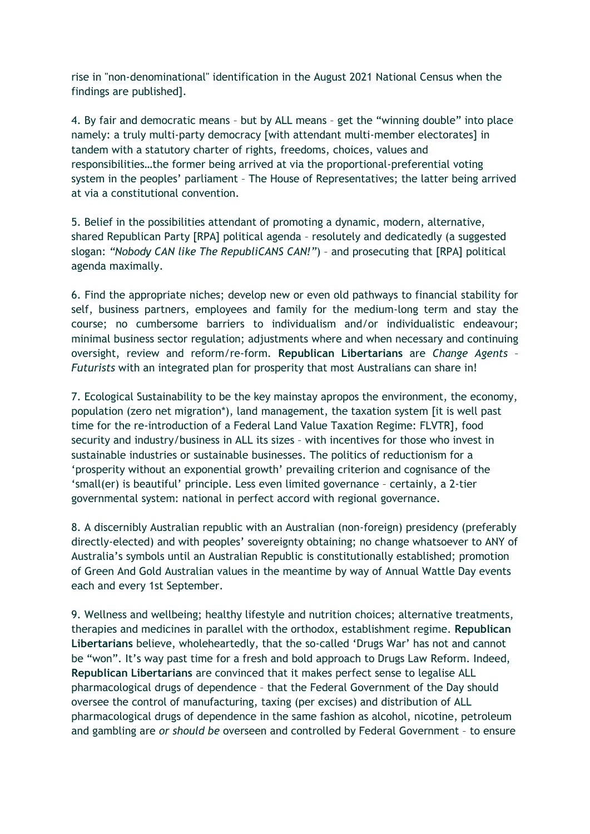rise in "non-denominational" identification in the August 2021 National Census when the findings are published].

4. By fair and democratic means – but by ALL means – get the "winning double" into place namely: a truly multi-party democracy [with attendant multi-member electorates] in tandem with a statutory charter of rights, freedoms, choices, values and responsibilities…the former being arrived at via the proportional-preferential voting system in the peoples' parliament – The House of Representatives; the latter being arrived at via a constitutional convention.

5. Belief in the possibilities attendant of promoting a dynamic, modern, alternative, shared Republican Party [RPA] political agenda – resolutely and dedicatedly (a suggested slogan: *"Nobody CAN like The RepubliCANS CAN!"*) – and prosecuting that [RPA] political agenda maximally.

6. Find the appropriate niches; develop new or even old pathways to financial stability for self, business partners, employees and family for the medium-long term and stay the course; no cumbersome barriers to individualism and/or individualistic endeavour; minimal business sector regulation; adjustments where and when necessary and continuing oversight, review and reform/re-form. **Republican Libertarians** are *Change Agents* – *Futurists* with an integrated plan for prosperity that most Australians can share in!

7. Ecological Sustainability to be the key mainstay apropos the environment, the economy, population (zero net migration\*), land management, the taxation system [it is well past time for the re-introduction of a Federal Land Value Taxation Regime: FLVTR], food security and industry/business in ALL its sizes – with incentives for those who invest in sustainable industries or sustainable businesses. The politics of reductionism for a 'prosperity without an exponential growth' prevailing criterion and cognisance of the 'small(er) is beautiful' principle. Less even limited governance – certainly, a 2-tier governmental system: national in perfect accord with regional governance.

8. A discernibly Australian republic with an Australian (non-foreign) presidency (preferably directly-elected) and with peoples' sovereignty obtaining; no change whatsoever to ANY of Australia's symbols until an Australian Republic is constitutionally established; promotion of Green And Gold Australian values in the meantime by way of Annual Wattle Day events each and every 1st September.

9. Wellness and wellbeing; healthy lifestyle and nutrition choices; alternative treatments, therapies and medicines in parallel with the orthodox, establishment regime. **Republican Libertarians** believe, wholeheartedly, that the so-called 'Drugs War' has not and cannot be "won". It's way past time for a fresh and bold approach to Drugs Law Reform. Indeed, **Republican Libertarians** are convinced that it makes perfect sense to legalise ALL pharmacological drugs of dependence – that the Federal Government of the Day should oversee the control of manufacturing, taxing (per excises) and distribution of ALL pharmacological drugs of dependence in the same fashion as alcohol, nicotine, petroleum and gambling are *or should be* overseen and controlled by Federal Government – to ensure